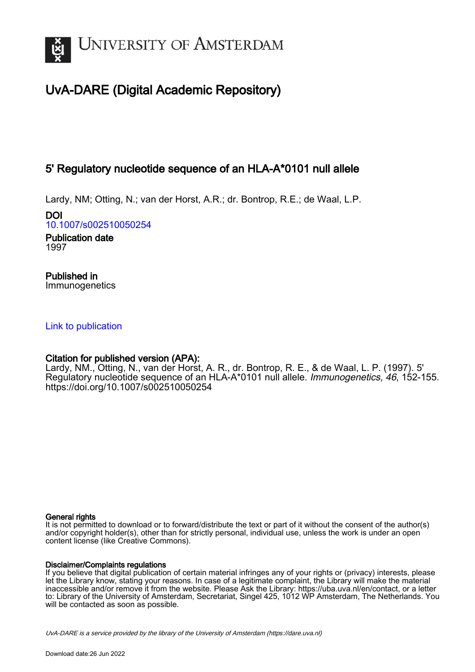

# UvA-DARE (Digital Academic Repository)

# 5' Regulatory nucleotide sequence of an HLA-A\*0101 null allele

Lardy, NM; Otting, N.; van der Horst, A.R.; dr. Bontrop, R.E.; de Waal, L.P.

DOI [10.1007/s002510050254](https://doi.org/10.1007/s002510050254)

Publication date 1997

Published in Immunogenetics

## [Link to publication](https://dare.uva.nl/personal/pure/en/publications/5-regulatory-nucleotide-sequence-of-an-hlaa0101-null-allele(dfa83604-10d7-43ae-a007-bb9b9ea6a7ea).html)

# Citation for published version (APA):

Lardy, NM., Otting, N., van der Horst, A. R., dr. Bontrop, R. E., & de Waal, L. P. (1997). 5' Regulatory nucleotide sequence of an HLA-A\*0101 null allele. Immunogenetics, 46, 152-155. <https://doi.org/10.1007/s002510050254>

## General rights

It is not permitted to download or to forward/distribute the text or part of it without the consent of the author(s) and/or copyright holder(s), other than for strictly personal, individual use, unless the work is under an open content license (like Creative Commons).

## Disclaimer/Complaints regulations

If you believe that digital publication of certain material infringes any of your rights or (privacy) interests, please let the Library know, stating your reasons. In case of a legitimate complaint, the Library will make the material inaccessible and/or remove it from the website. Please Ask the Library: https://uba.uva.nl/en/contact, or a letter to: Library of the University of Amsterdam, Secretariat, Singel 425, 1012 WP Amsterdam, The Netherlands. You will be contacted as soon as possible.

UvA-DARE is a service provided by the library of the University of Amsterdam (http*s*://dare.uva.nl)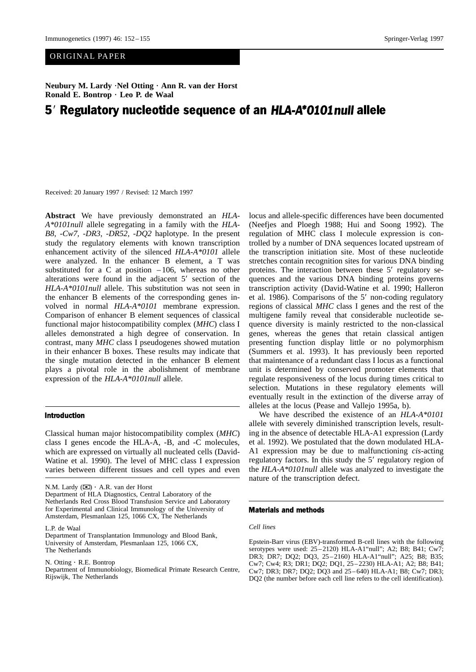**Neubury M. Lardy ·Nel Otting · Ann R. van der Horst<br>Ronald E. Bontrop · Leo P. de Waal<br>E. De stale horse saar beelde on a supprese Ronald E. Bontrop**

# 5' Regulatory nucleotide sequence of an HLA-A\*0101null allele  $\mathbf{S}_{\text{max}}$

Received: 20 January 1997 / Revised: 12 March 1997

Abstract We have previously demonstrated an *HLA*-*A\*0101null* allele segregating in a family with the *HLA-B8*, -*Cw7*, -*DR3*, -*DR52*, -*DQ2* haplotype. In the present study the regulatory elements with known transcription enhancement activity of the silenced *HLA-A\*0101* allele were analyzed. In the enhancer B element, a T was substituted for a C at position  $-106$ , whereas no other alterations were found in the adjacent 5' section of the *HLA-A\*0101null* allele. This substitution was not seen in the enhancer B elements of the corresponding genes in-*HLA-A\*0101null* allele. This substitution was not seen in the enhancer B elements of the corresponding genes involved in normal *HLA-A\*0101* membrane expression. Comparison of enhancer B element sequences of classical functional major histocompatibility complex (*MHC*) class I alleles demonstrated a high degree of conservation. In contrast, many *MHC* class I pseudogenes showed mutation in their enhancer B boxes. These results may indicate that the single mutation detected in the enhancer B element plays a pivotal role in the abolishment of membrane expression of the *HLA-A\*0101null* allele.

#### **Introduction**

Classical human major histocompatibility complex (*MHC*) class I genes encode the HLA-A, -B, and -C molecules, which are expressed on virtually all nucleated cells (David-Watine et al. 1990). The level of MHC class I expression varies between different tissues and cell types and even

N.M. Lardy  $(\boxtimes) \cdot$  A.R. van der Horst

• A.R. van der Horst<br>LA Diagnostics, Cent<br>Cross Blood Transfus Department of HLA Diagnostics, Central Laboratory of the Netherlands Red Cross Blood Transfusion Service and Laboratory for Experimental and Clinical Immunology of the University of Amsterdam, Plesmanlaan 125, 1066 CX, The Netherlands

L.P. de Waal

N. Otting  $\cdot$  R.E. Bontrop

• R.E. Bontrop<br>nt of Immunobi<br>The Netherland Department of Immunobiology, Biomedical Primate Research Centre, Rijswijk, The Netherlands

locus and allele-specific differences have been documented (Neefjes and Ploegh 1988; Hui and Soong 1992). The regulation of MHC class I molecule expression is controlled by a number of DNA sequences located upstream of the transcription initiation site. Most of these nucleotide stretches contain recognition sites for various DNA binding proteins. The interaction between these 5' regulatory sequences and the various DNA binding proteins governs transcription activity (David-Watine et al. 1990; Halleron quences and the various DNA binding proteins governs transcription activity (David-Watine et al. 1990; Halleron et al. 1986). Comparisons of the 5' non-coding regulatory regions of classical *MHC* class I genes and the rest of the multigene family reveal that considerable nucleotide seregions of classical *MHC* class I genes and the rest of the multigene family reveal that considerable nucleotide sequence diversity is mainly restricted to the non-classical genes, whereas the genes that retain classical antigen presenting function display little or no polymorphism (Summers et al. 1993). It has previously been reported that maintenance of a redundant class I locus as a functional unit is determined by conserved promoter elements that regulate responsiveness of the locus during times critical to selection. Mutations in these regulatory elements will eventually result in the extinction of the diverse array of alleles at the locus (Pease and Vallejo 1995a, b).

We have described the existence of an *HLA-A\*0101* allele with severely diminished transcription levels, resulting in the absence of detectable HLA-A1 expression (Lardy et al. 1992). We postulated that the down modulated HLA-A1 expression may be due to malfunctioning *cis*-acting regulatory factors. In this study the 5' regulatory region of *r* regulatory region of regulatory region of the *HLA-A\*0101null* allele was analyzed to investigate the nature of the transcription defect.

#### Materials and methods

*Cell lines*

Epstein-Barr virus (EBV)-transformed B-cell lines with the following serotypes were used:  $25-2120$ ) HLA-A1"null"; A2; B8; B41; Cw7; DR3; DR7; DQ2; DQ3, 25 – 2160) HLA-A1"null"; A25; B8; B35; Cw7; Cw4; R3; DR1; DQ2; DQ1, 25 – 2230) HLA-A1; A2; B8; B41; Cw7; DR3; DR7; DQ2; DQ3 and 25– 640) HLA-A1; B8; Cw7; DR3; DQ2 (the number before each cell line refers to the cell identification).

Department of Transplantation Immunology and Blood Bank, University of Amsterdam, Plesmanlaan 125, 1066 CX, The Netherlands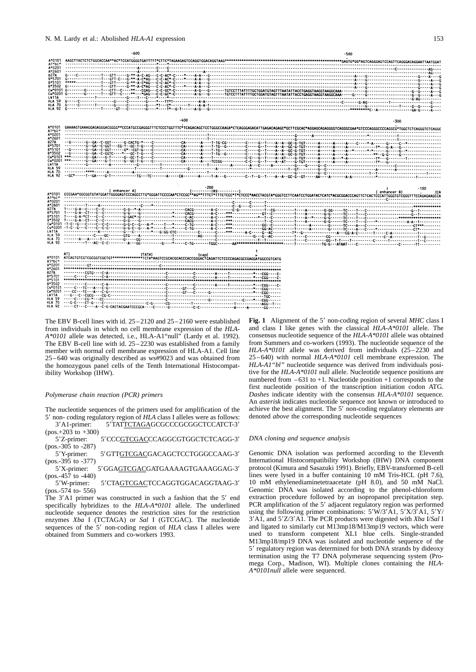#### N. M. Lardy et al.: Abolished *HLA-A1* expression 153

|                  | -600                                                                                                | -500                                                                                                                                                                                                 |
|------------------|-----------------------------------------------------------------------------------------------------|------------------------------------------------------------------------------------------------------------------------------------------------------------------------------------------------------|
| A*0101<br>A1"bl" |                                                                                                     |                                                                                                                                                                                                      |
| A*0201<br>A*2601 |                                                                                                     |                                                                                                                                                                                                      |
| <b>B27A</b>      |                                                                                                     |                                                                                                                                                                                                      |
| 8*5701           |                                                                                                     |                                                                                                                                                                                                      |
| B*5101           |                                                                                                     |                                                                                                                                                                                                      |
|                  |                                                                                                     |                                                                                                                                                                                                      |
|                  |                                                                                                     |                                                                                                                                                                                                      |
|                  |                                                                                                     |                                                                                                                                                                                                      |
|                  |                                                                                                     |                                                                                                                                                                                                      |
| <b>HLA 70</b>    |                                                                                                     |                                                                                                                                                                                                      |
|                  |                                                                                                     |                                                                                                                                                                                                      |
|                  | -400                                                                                                |                                                                                                                                                                                                      |
| A*0101           |                                                                                                     | -300                                                                                                                                                                                                 |
| A1"bl"           |                                                                                                     |                                                                                                                                                                                                      |
| A*0201<br>A*2601 |                                                                                                     |                                                                                                                                                                                                      |
| <b>B27A</b>      |                                                                                                     |                                                                                                                                                                                                      |
|                  |                                                                                                     |                                                                                                                                                                                                      |
|                  |                                                                                                     |                                                                                                                                                                                                      |
|                  |                                                                                                     |                                                                                                                                                                                                      |
|                  |                                                                                                     |                                                                                                                                                                                                      |
| LN11A            |                                                                                                     |                                                                                                                                                                                                      |
| HIA 70.          |                                                                                                     |                                                                                                                                                                                                      |
|                  |                                                                                                     |                                                                                                                                                                                                      |
|                  |                                                                                                     |                                                                                                                                                                                                      |
|                  |                                                                                                     |                                                                                                                                                                                                      |
|                  |                                                                                                     |                                                                                                                                                                                                      |
|                  | ' [ enhancer A]                                                                                     |                                                                                                                                                                                                      |
| A*0101           |                                                                                                     | [ enhancer B]<br><b>ICA</b><br>CCCGAA*GGCGGTGTATGGGTATGGGGAGTCCAAGCCTTG*GGGATTCCCCAA*CTCCGC**AG**TTTCT*TITCTCCC*ATACTACGAA*GGGTCCTTCAATCCTGGATACTGATACGGGACCCAGTTCCACTCCCATTGGGTGTCGGTTTCCAGGAAAGCCA |
| A1"bl"<br>A*0201 |                                                                                                     |                                                                                                                                                                                                      |
| A*2601           |                                                                                                     |                                                                                                                                                                                                      |
| <b>B27A</b>      |                                                                                                     |                                                                                                                                                                                                      |
|                  |                                                                                                     |                                                                                                                                                                                                      |
|                  |                                                                                                     |                                                                                                                                                                                                      |
|                  |                                                                                                     |                                                                                                                                                                                                      |
|                  |                                                                                                     |                                                                                                                                                                                                      |
| LN11A            |                                                                                                     |                                                                                                                                                                                                      |
|                  |                                                                                                     |                                                                                                                                                                                                      |
|                  |                                                                                                     |                                                                                                                                                                                                      |
|                  |                                                                                                     |                                                                                                                                                                                                      |
|                  | AT)<br>[TATA]<br>(cap)                                                                              |                                                                                                                                                                                                      |
| A*0101<br>A1"bl" | ATCAGTGTCGTCGCGGTCGCTGT************TCTA*AAGTCCGCACCGACCCACCGGACTCAGATTCTCCCCAGACGCCGAGGATGGCCGTCATG |                                                                                                                                                                                                      |
| A*0201           |                                                                                                     |                                                                                                                                                                                                      |
| A*2601           |                                                                                                     |                                                                                                                                                                                                      |
| 627A<br>8*5701   |                                                                                                     |                                                                                                                                                                                                      |
| B*5101           |                                                                                                     |                                                                                                                                                                                                      |
| B*3502           |                                                                                                     |                                                                                                                                                                                                      |
|                  |                                                                                                     |                                                                                                                                                                                                      |
| LN11A            |                                                                                                     |                                                                                                                                                                                                      |
|                  |                                                                                                     |                                                                                                                                                                                                      |
| <b>HLA 70</b>    |                                                                                                     |                                                                                                                                                                                                      |

The EBV B-cell lines with id.  $25-2120$  and  $25-2160$  were established from individuals in which no cell membrane expression of the *HLA-A\*0101* allele was detected, i.e., HLA-A1"null" (Lardy et al. 1992). The EBV B-cell line with id. 25–2230 was established from a family member with normal cell membrane expression of HLA-A1. Cell line 25– 640 was originally described as ws#9023 and was obtained from the homozygous panel cells of the Tenth International Histocompatibility Workshop (IHW).

#### *Polymerase chain reaction (PCR) primers*

The nucleotide sequences of the primers used for amplification of the 3'A1-primer:

5' non- coding regulatory region of *HLA* class I alleles were as follows:<br>3'A1-primer: 5'TATTCTAGAGCGCCCGCGGCTCCATCT-3'<br>(pos.+203 to +300) 5'TAT<u>TCTAGA</u>GCGCCCGCGGCTCCATCT-3'<br>5'CCC<u>GTCGAC</u>CCAGGCGTGGCTCTCAGG-3' (pos.+203 to +300)

5'Z-primer: (pos.-305 to -287)

5'GTTGTCGACGACAGCTCCTGGGCCAAG-3' 5'Y-primer: (pos.-395 to -377)

5'GGAGTCGACGATGAAAAGTGAAAGGAG-3' 5'X-primer: (pos.-457 to -440)

5'CTAGTCGACTCCAGGTGGACAGGTAAG-3' 5'W-primer: (pos.-574 to- 556)

5'W-primer: 5'CTAGTCGACTCCAGGTGGACAGGTAAG-3'<br>(pos.-574 to- 556)<br>The 3'A1 primer was constructed in such a fashion that the 5' end<br>specifically hybridizes to the *HLA-A\*0101* allele. The underlined<br>nucleotide sequence denot specifically hybridizes to the *HLA-A\*0101* allele. The underlined nucleotide sequence denotes the restriction sites for the restriction enzymes *Xba* I (TCTAGA) or *Sal* I (GTCGAC). The nucleotide sequences of the 5<sup>*'*</sup> non-coding region of *HLA* class I alleles were obtained from Summers and co-workers 1993. obtained from Summers and co-workers 1993.

Fig. 1 Alignment of the 5' non-coding region of several MHC class I Fig. 1 Alignment of the 5' non-coding region of several *MHC* class I and class I like genes with the classical *HLA-A\*0101* allele. The consensus nucleotide sequence of the *HLA-A\*0101* allele was obtained and class I like genes with the classical *HLA-A\*0101* allele. The from Summers and co-workers (1993). The nucleotide sequence of the *HLA-A\*0101* allele was derived from individuals (25–2230 and 25– 640) with normal *HLA-A\*0101* cell membrane expression. The *HLA-A1"bl"* nucleotide sequence was derived from individuals positive for the *HLA-A\*0101* null allele. Nucleotide sequence positions are numbered from  $-631$  to  $+1$ . Nucleotide position  $+1$  corresponds to the first nucleotide position of the transcription initiation codon ATG. *Dashes* indicate identity with the consensus *HLA-A\*0101* sequence. An *asterisk* indicates nucleotide sequence not known or introduced to achieve the best alignment. The 5' non-coding regulatory elements are<br>denoted *above* the corresponding nucleotide sequences denoted *above* the corresponding nucleotide sequences

#### *DNA cloning and sequence analysis*

Genomic DNA isolation was performed according to the Eleventh International Histocompatibility Workshop (IHW) DNA component protocol (Kimura and Sasazuki 1991). Briefly, EBV-transformed B-cell lines were lysed in a buffer containing 10 mM Tris-HCL (pH 7.6), 10 mM ethylenediaminetetraacetate (pH 8.0), and 50 mM NaCl. Genomic DNA was isolated according to the phenol-chloroform extraction procedure followed by an isopropanol precipitation step. PCR amplification of the 5' adjacent regulatory region was performed V adjacent regulatory region was performed<br>
combinations:  $5'W/3'A1$ ,  $5'X/3'A1$ ,  $5'Y$ <br>
CR products were digested with *Xba VSal I* using the following primer combinations: 5W/3'A1, 5'X/3'A1, 5'Y/<br>
9 digested with Xba I/Sal I<br>
mp19 vectors, which were 3'A1, and 5'Z/3'A1. The PCR products were digested with Xba I/Sal I A1, and 5'Z/3'A1. The PCR products were digested with *Xba I/Sal I* and ligated to similarly cut M13mp18/M13mp19 vectors, which were sed to transform competent XL1 blue cells. Single-stranded and ligated to similarly cut M13mp18/M13mp19 vectors, which were used to transform competent XL1 blue cells. Single-stranded M13mp18/mp19 DNA was isolated and nucleotide sequence of the 5' regulatory region was determined for both DNA strands by dideoxy The regulatory region was determined for both DNA strands by dideoxy<br>
remination using the T7 DNA polymerase sequencing system (Pro-<br>
rega Corp., Madison, WI). Multiple clones containing the HLAtermination using the T7 DNA polymerase sequencing system (Promega Corp., Madison, WI). Multiple clones containing the *HLA-A\*0101null* allele were sequenced.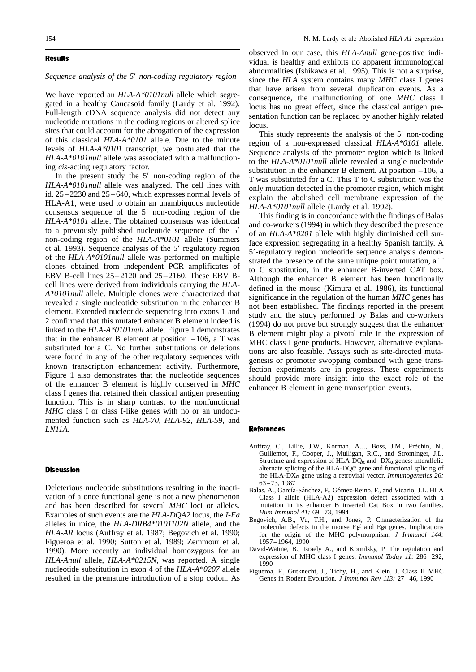#### **Results** Results

#### *Sequence analysis of the 5*

Sequence analysis of the 5' non-coding regulatory region<br>We have reported an *HLA-A\*0101null* allele which segregated in a healthy Caucasoid family (Lardy et al. 1992). Full-length cDNA sequence analysis did not detect any nucleotide mutations in the coding regions or altered splice sites that could account for the abrogation of the expression of this classical *HLA-A\*0101* allele. Due to the minute levels of *HLA-A\*0101* transcript, we postulated that the *HLA-A\*0101null* allele was associated with a malfunctioning *cis*-acting regulatory factor.

In the present study the  $5'$  non-coding region of the In the present study the 5' non-coding region of the *HLA-A\*0101null* allele was analyzed. The cell lines with id.  $25-2230$  and  $25-640$ , which expresses normal levels of *HLA-A\*0101null* allele was analyzed. The cell lines with HLA-A1, were used to obtain an unambiquous nucleotide consensus sequence of the 5' non-coding region of the  $'$  non-coding region of the<br>ned consensus was identical<br>cleotide sequence of the  $5'$ *HLA-A\*0101* allele. The obtained consensus was identical to a previously published nucleotide sequence of the 5s<br>n non-coding region of the *HLA-A\*0101* allele (Summers et al. 1993). Sequence analysis of the 5Tegulatory region<br>19 region multiple<br>19 regions amplificates of the *HLA-A\*0101null* allele was performed on multiple clones obtained from independent PCR amplificates of EBV B-cell lines 25 – 2120 and 25 – 2160. These EBV Bcell lines were derived from individuals carrying the *HLA-A\*0101null* allele. Multiple clones were characterized that revealed a single nucleotide substitution in the enhancer B element. Extended nucleotide sequencing into exons 1 and 2 confirmed that this mutated enhancer B element indeed is linked to the *HLA-A\*0101null* allele. Figure 1 demonstrates that in the enhancer B element at position  $-106$ , a T was substituted for a C. No further substitutions or deletions were found in any of the other regulatory sequences with known transcription enhancement activity. Furthermore, Figure 1 also demonstrates that the nucleotide sequences of the enhancer B element is highly conserved in *MHC* class I genes that retained their classical antigen presenting function. This is in sharp contrast to the nonfunctional *MHC* class I or class I-like genes with no or an undocumented function such as *HLA-70*, *HLA-92*, *HLA-59,* and *LN11A*.

#### **Discussion** Discussion

Deleterious nucleotide substitutions resulting in the inactivation of a once functional gene is not a new phenomenon and has been described for several *MHC* loci or alleles. Examples of such events are the *HLA-DQA2* locus, the *I-Ea* alleles in mice, the *HLA-DRB4\*0101102N* allele, and the *HLA-AR* locus (Auffray et al. 1987; Begovich et al. 1990; Figueroa et al. 1990; Sutton et al. 1989; Zemmour et al. 1990). More recently an individual homozygous for an *HLA-Anull* allele, *HLA-A\*0215N*, was reported. A single nucleotide substitution in exon 4 of the *HLA-A\*0207* allele resulted in the premature introduction of a stop codon. As

observed in our case, this *HLA-Anull* gene-positive individual is healthy and exhibits no apparent immunological abnormalities (Ishikawa et al. 1995). This is not a surprise, since the *HLA* system contains many *MHC* class I genes that have arisen from several duplication events. As a consequence, the malfunctioning of one *MHC* class I locus has no great effect, since the classical antigen presentation function can be replaced by another highly related locus.

This study represents the analysis of the 5' non-coding This study represents the analysis of the 5' non-coding<br>region of a non-expressed classical *HLA-A\*0101* allele.<br>Sequence analysis of the promoter region which is linked region of a non-expressed classical *HLA-A\*0101* allele. to the *HLA-A\*0101null* allele revealed a single nucleotide substitution in the enhancer B element. At position  $-106$ , a T was substituted for a C. This T to C substitution was the only mutation detected in the promoter region, which might explain the abolished cell membrane expression of the *HLA-A\*0101null* allele (Lardy et al. 1992).

This finding is in concordance with the findings of Balas and co-workers (1994) in which they described the presence of an *HLA-A\*0201* allele with highly diminished cell surface expression segregating in a healthy Spanish family. A 5'-regulatory region nucleotide sequence analysis demonstrated the presence of the same unique point mutation, a T<br>to C substitution, in the enhancer B-inverted CAT box. strated the presence of the same unique point mutation, a T to C substitution, in the enhancer B-inverted CAT box. Although the enhancer B element has been functionally defined in the mouse (Kimura et al. 1986), its functional significance in the regulation of the human *MHC* genes has not been established. The findings reported in the present study and the study performed by Balas and co-workers (1994) do not prove but strongly suggest that the enhancer B element might play a pivotal role in the expression of MHC class I gene products. However, alternative explanations are also feasible. Assays such as site-directed mutagenesis or promoter swopping combined with gene transfection experiments are in progress. These experiments should provide more insight into the exact role of the enhancer B element in gene transcription events.

#### References

- Auffray, C., Lillie, J.W., Korman, A.J., Boss, J.M., Frèchin, N., Guillemot, F., Cooper, J., Mulligan, R.C., and Strominger, J.L. Structure and expression of HLA-DQ $\alpha$  and -DX $\alpha$  genes: interallelic alternate splicing of the HLA-DO $\alpha$  gene and functional splicing of the HLA-DX<sup>α</sup> gene using a retroviral vector. *Immunogenetics 26:* 63– 73, 1987
- Balas, A., García-Sánchez, F., Gómez-Reino, F., and Vicario, J.L. HLA Class I allele (HLA-A2) expression defect associated with a mutation in its enhancer B inverted Cat Box in two families. *Hum Immunol 41:* 69 – 73, 1994
- Begovich, A.B., Vu, T.H., and Jones, P. Characterization of the molecular defects in the mouse  $E\beta^f$  and  $E\beta^q$  genes. Implications for the origin of the MHC polymorphism. *J Immunol 144:* 1957 – 1964, 1990
- David-Watine, B., Israëly A., and Kourilsky, P. The regulation and expression of MHC class I genes. *Immunol Today 11:* 286-292, 1990
- Figueroa, F., Gutknecht, J., Tichy, H., and Klein, J. Class II MHC Genes in Rodent Evolution. *J Immunol Rev 113:* 27-46, 1990